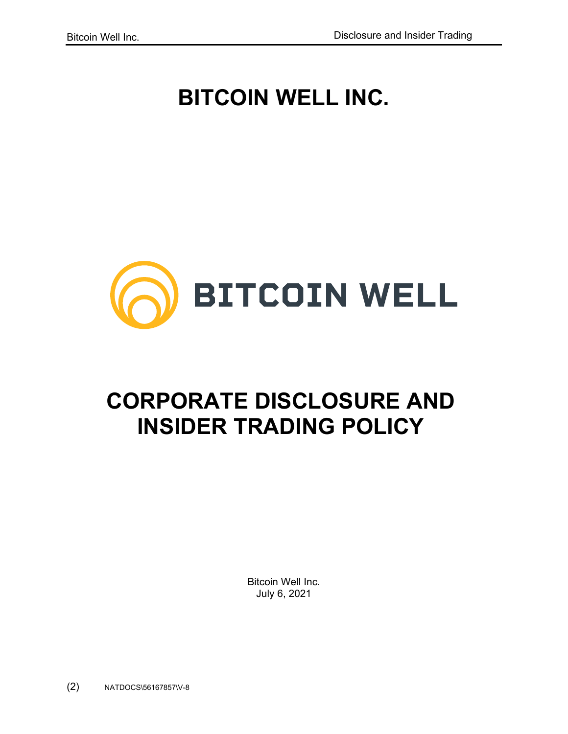# **BITCOIN WELL INC.**



# **CORPORATE DISCLOSURE AND INSIDER TRADING POLICY**

Bitcoin Well Inc. July 6, 2021

(2) NATDOCS\56167857\V-8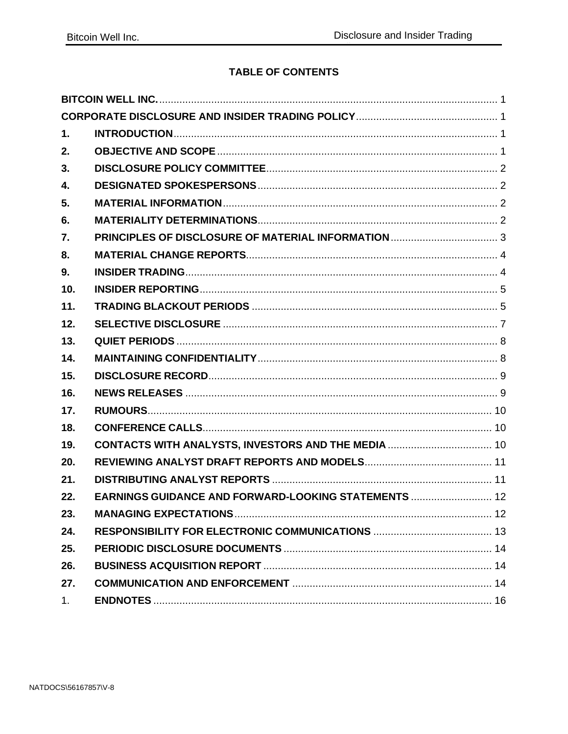# **TABLE OF CONTENTS**

| 1.             |                                                             |  |
|----------------|-------------------------------------------------------------|--|
| 2.             |                                                             |  |
| 3.             |                                                             |  |
| 4.             |                                                             |  |
| 5.             |                                                             |  |
| 6.             |                                                             |  |
| 7.             |                                                             |  |
| 8.             |                                                             |  |
| 9.             |                                                             |  |
| 10.            |                                                             |  |
| 11.            |                                                             |  |
| 12.            |                                                             |  |
| 13.            |                                                             |  |
| 14.            |                                                             |  |
| 15.            |                                                             |  |
| 16.            |                                                             |  |
| 17.            |                                                             |  |
| 18.            |                                                             |  |
| 19.            | CONTACTS WITH ANALYSTS, INVESTORS AND THE MEDIA  10         |  |
| 20.            |                                                             |  |
| 21.            |                                                             |  |
| 22.            | <b>EARNINGS GUIDANCE AND FORWARD-LOOKING STATEMENTS  12</b> |  |
| 23.            |                                                             |  |
| 24.            |                                                             |  |
| 25.            |                                                             |  |
| 26.            |                                                             |  |
| 27.            |                                                             |  |
| 1 <sub>1</sub> |                                                             |  |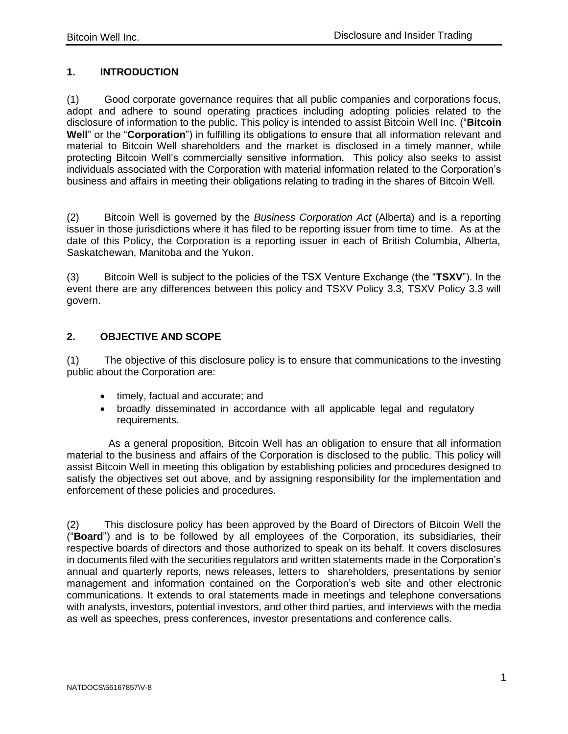# <span id="page-2-0"></span>**1. INTRODUCTION**

(1) Good corporate governance requires that all public companies and corporations focus, adopt and adhere to sound operating practices including adopting policies related to the disclosure of information to the public. This policy is intended to assist Bitcoin Well Inc. ("**Bitcoin Well**" or the "**Corporation**") in fulfilling its obligations to ensure that all information relevant and material to Bitcoin Well shareholders and the market is disclosed in a timely manner, while protecting Bitcoin Well's commercially sensitive information. This policy also seeks to assist individuals associated with the Corporation with material information related to the Corporation's business and affairs in meeting their obligations relating to trading in the shares of Bitcoin Well.

(2) Bitcoin Well is governed by the *Business Corporation Act* (Alberta) and is a reporting issuer in those jurisdictions where it has filed to be reporting issuer from time to time. As at the date of this Policy, the Corporation is a reporting issuer in each of British Columbia, Alberta, Saskatchewan, Manitoba and the Yukon.

(3) Bitcoin Well is subject to the policies of the TSX Venture Exchange (the "**TSXV**"). In the event there are any differences between this policy and TSXV Policy 3.3, TSXV Policy 3.3 will govern.

# <span id="page-2-1"></span>**2. OBJECTIVE AND SCOPE**

(1) The objective of this disclosure policy is to ensure that communications to the investing public about the Corporation are:

- timely, factual and accurate; and
- broadly disseminated in accordance with all applicable legal and regulatory requirements.

As a general proposition, Bitcoin Well has an obligation to ensure that all information material to the business and affairs of the Corporation is disclosed to the public. This policy will assist Bitcoin Well in meeting this obligation by establishing policies and procedures designed to satisfy the objectives set out above, and by assigning responsibility for the implementation and enforcement of these policies and procedures.

(2) This disclosure policy has been approved by the Board of Directors of Bitcoin Well the ("**Board**") and is to be followed by all employees of the Corporation, its subsidiaries, their respective boards of directors and those authorized to speak on its behalf. It covers disclosures in documents filed with the securities regulators and written statements made in the Corporation's annual and quarterly reports, news releases, letters to shareholders, presentations by senior management and information contained on the Corporation's web site and other electronic communications. It extends to oral statements made in meetings and telephone conversations with analysts, investors, potential investors, and other third parties, and interviews with the media as well as speeches, press conferences, investor presentations and conference calls.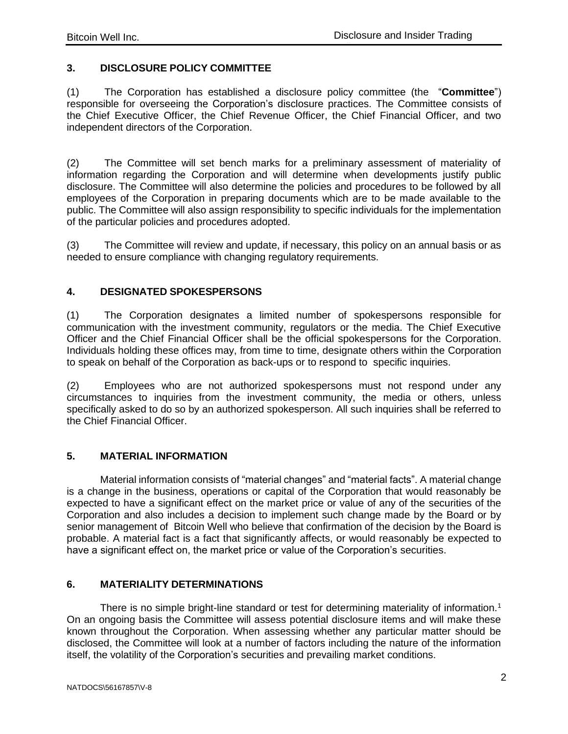# <span id="page-3-0"></span>**3. DISCLOSURE POLICY COMMITTEE**

(1) The Corporation has established a disclosure policy committee (the "**Committee**") responsible for overseeing the Corporation's disclosure practices. The Committee consists of the Chief Executive Officer, the Chief Revenue Officer, the Chief Financial Officer, and two independent directors of the Corporation.

(2) The Committee will set bench marks for a preliminary assessment of materiality of information regarding the Corporation and will determine when developments justify public disclosure. The Committee will also determine the policies and procedures to be followed by all employees of the Corporation in preparing documents which are to be made available to the public. The Committee will also assign responsibility to specific individuals for the implementation of the particular policies and procedures adopted.

(3) The Committee will review and update, if necessary, this policy on an annual basis or as needed to ensure compliance with changing regulatory requirements.

# <span id="page-3-1"></span>**4. DESIGNATED SPOKESPERSONS**

(1) The Corporation designates a limited number of spokespersons responsible for communication with the investment community, regulators or the media. The Chief Executive Officer and the Chief Financial Officer shall be the official spokespersons for the Corporation. Individuals holding these offices may, from time to time, designate others within the Corporation to speak on behalf of the Corporation as back-ups or to respond to specific inquiries.

(2) Employees who are not authorized spokespersons must not respond under any circumstances to inquiries from the investment community, the media or others, unless specifically asked to do so by an authorized spokesperson. All such inquiries shall be referred to the Chief Financial Officer.

# <span id="page-3-2"></span>**5. MATERIAL INFORMATION**

Material information consists of "material changes" and "material facts". A material change is a change in the business, operations or capital of the Corporation that would reasonably be expected to have a significant effect on the market price or value of any of the securities of the Corporation and also includes a decision to implement such change made by the Board or by senior management of Bitcoin Well who believe that confirmation of the decision by the Board is probable. A material fact is a fact that significantly affects, or would reasonably be expected to have a significant effect on, the market price or value of the Corporation's securities.

# <span id="page-3-3"></span>**6. MATERIALITY DETERMINATIONS**

There is no simple bright-line standard or test for determining materiality of information.<sup>[1](#page-19-0)</sup> On an ongoing basis the Committee will assess potential disclosure items and will make these known throughout the Corporation. When assessing whether any particular matter should be disclosed, the Committee will look at a number of factors including the nature of the information itself, the volatility of the Corporation's securities and prevailing market conditions.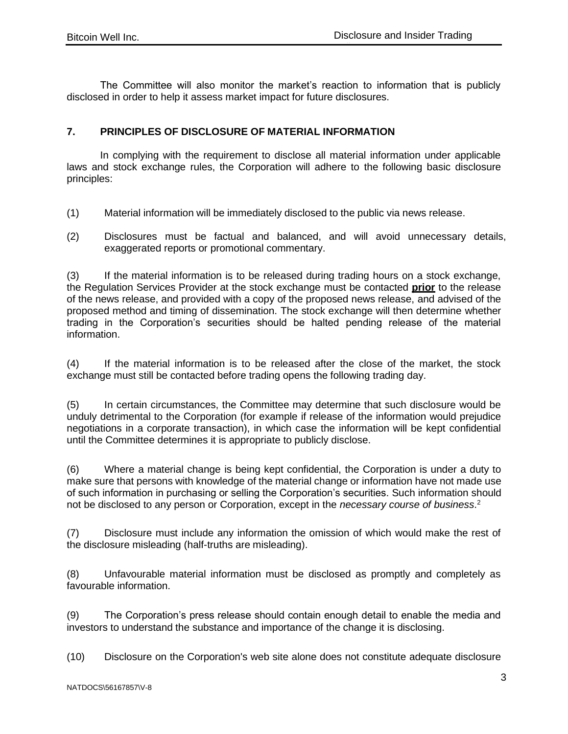The Committee will also monitor the market's reaction to information that is publicly disclosed in order to help it assess market impact for future disclosures.

## <span id="page-4-0"></span>**7. PRINCIPLES OF DISCLOSURE OF MATERIAL INFORMATION**

In complying with the requirement to disclose all material information under applicable laws and stock exchange rules, the Corporation will adhere to the following basic disclosure principles:

- (1) Material information will be immediately disclosed to the public via news release.
- (2) Disclosures must be factual and balanced, and will avoid unnecessary details, exaggerated reports or promotional commentary.

(3) If the material information is to be released during trading hours on a stock exchange, the Regulation Services Provider at the stock exchange must be contacted **prior** to the release of the news release, and provided with a copy of the proposed news release, and advised of the proposed method and timing of dissemination. The stock exchange will then determine whether trading in the Corporation's securities should be halted pending release of the material information.

(4) If the material information is to be released after the close of the market, the stock exchange must still be contacted before trading opens the following trading day.

(5) In certain circumstances, the Committee may determine that such disclosure would be unduly detrimental to the Corporation (for example if release of the information would prejudice negotiations in a corporate transaction), in which case the information will be kept confidential until the Committee determines it is appropriate to publicly disclose.

(6) Where a material change is being kept confidential, the Corporation is under a duty to make sure that persons with knowledge of the material change or information have not made use of such information in purchasing or selling the Corporation's securities. Such information should not be disclosed to any person or Corporation, except in the *necessary course of business*. [2](#page-19-0)

(7) Disclosure must include any information the omission of which would make the rest of the disclosure misleading (half-truths are misleading).

(8) Unfavourable material information must be disclosed as promptly and completely as favourable information.

(9) The Corporation's press release should contain enough detail to enable the media and investors to understand the substance and importance of the change it is disclosing.

(10) Disclosure on the Corporation's web site alone does not constitute adequate disclosure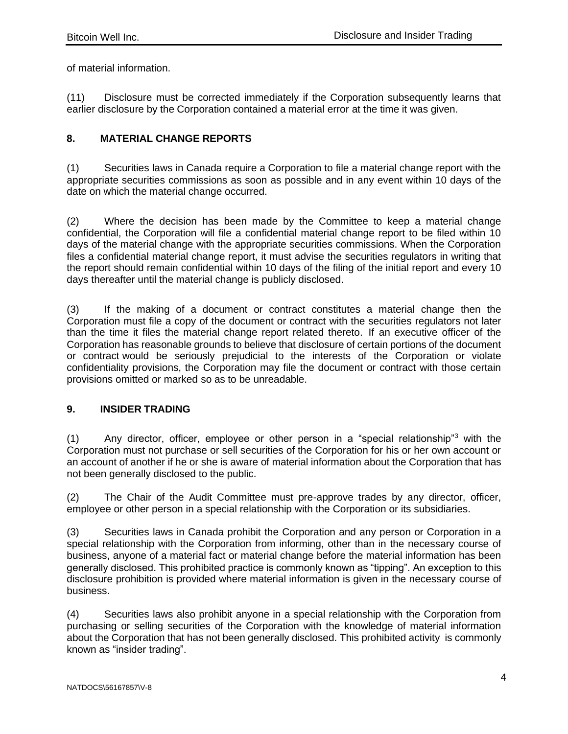of material information.

(11) Disclosure must be corrected immediately if the Corporation subsequently learns that earlier disclosure by the Corporation contained a material error at the time it was given.

## <span id="page-5-0"></span>**8. MATERIAL CHANGE REPORTS**

(1) Securities laws in Canada require a Corporation to file a material change report with the appropriate securities commissions as soon as possible and in any event within 10 days of the date on which the material change occurred.

(2) Where the decision has been made by the Committee to keep a material change confidential, the Corporation will file a confidential material change report to be filed within 10 days of the material change with the appropriate securities commissions. When the Corporation files a confidential material change report, it must advise the securities regulators in writing that the report should remain confidential within 10 days of the filing of the initial report and every 10 days thereafter until the material change is publicly disclosed.

(3) If the making of a document or contract constitutes a material change then the Corporation must file a copy of the document or contract with the securities regulators not later than the time it files the material change report related thereto. If an executive officer of the Corporation has reasonable grounds to believe that disclosure of certain portions of the document or contract would be seriously prejudicial to the interests of the Corporation or violate confidentiality provisions, the Corporation may file the document or contract with those certain provisions omitted or marked so as to be unreadable.

#### <span id="page-5-1"></span>**9. INSIDER TRADING**

(1) Any director, officer, employee or other person in a "special relationship"<sup>[3](#page-19-0)</sup> with the Corporation must not purchase or sell securities of the Corporation for his or her own account or an account of another if he or she is aware of material information about the Corporation that has not been generally disclosed to the public.

(2) The Chair of the Audit Committee must pre-approve trades by any director, officer, employee or other person in a special relationship with the Corporation or its subsidiaries.

(3) Securities laws in Canada prohibit the Corporation and any person or Corporation in a special relationship with the Corporation from informing, other than in the necessary course of business, anyone of a material fact or material change before the material information has been generally disclosed. This prohibited practice is commonly known as "tipping". An exception to this disclosure prohibition is provided where material information is given in the necessary course of business.

(4) Securities laws also prohibit anyone in a special relationship with the Corporation from purchasing or selling securities of the Corporation with the knowledge of material information about the Corporation that has not been generally disclosed. This prohibited activity is commonly known as "insider trading".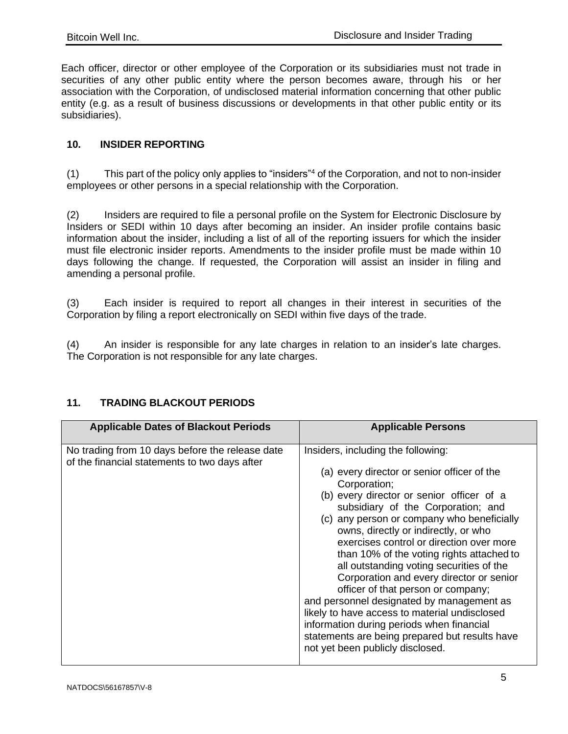Each officer, director or other employee of the Corporation or its subsidiaries must not trade in securities of any other public entity where the person becomes aware, through his or her association with the Corporation, of undisclosed material information concerning that other public entity (e.g. as a result of business discussions or developments in that other public entity or its subsidiaries).

## <span id="page-6-0"></span>**10. INSIDER REPORTING**

(1) This part of the policy only applies to "insiders["](#page-19-0)<sup>4</sup> of the Corporation, and not to non-insider employees or other persons in a special relationship with the Corporation.

(2) Insiders are required to file a personal profile on the System for Electronic Disclosure by Insiders or SEDI within 10 days after becoming an insider. An insider profile contains basic information about the insider, including a list of all of the reporting issuers for which the insider must file electronic insider reports. Amendments to the insider profile must be made within 10 days following the change. If requested, the Corporation will assist an insider in filing and amending a personal profile.

(3) Each insider is required to report all changes in their interest in securities of the Corporation by filing a report electronically on SEDI within five days of the trade.

(4) An insider is responsible for any late charges in relation to an insider's late charges. The Corporation is not responsible for any late charges.

| <b>Applicable Dates of Blackout Periods</b>                                                      | <b>Applicable Persons</b>                                                                                                                                                                                                                                                                                                                                                                                                                                                                                                                                                                                                                                                                                                          |  |  |  |
|--------------------------------------------------------------------------------------------------|------------------------------------------------------------------------------------------------------------------------------------------------------------------------------------------------------------------------------------------------------------------------------------------------------------------------------------------------------------------------------------------------------------------------------------------------------------------------------------------------------------------------------------------------------------------------------------------------------------------------------------------------------------------------------------------------------------------------------------|--|--|--|
| No trading from 10 days before the release date<br>of the financial statements to two days after | Insiders, including the following:<br>(a) every director or senior officer of the<br>Corporation;<br>(b) every director or senior officer of a<br>subsidiary of the Corporation; and<br>(c) any person or company who beneficially<br>owns, directly or indirectly, or who<br>exercises control or direction over more<br>than 10% of the voting rights attached to<br>all outstanding voting securities of the<br>Corporation and every director or senior<br>officer of that person or company;<br>and personnel designated by management as<br>likely to have access to material undisclosed<br>information during periods when financial<br>statements are being prepared but results have<br>not yet been publicly disclosed. |  |  |  |
|                                                                                                  |                                                                                                                                                                                                                                                                                                                                                                                                                                                                                                                                                                                                                                                                                                                                    |  |  |  |

# <span id="page-6-1"></span>**11. TRADING BLACKOUT PERIODS**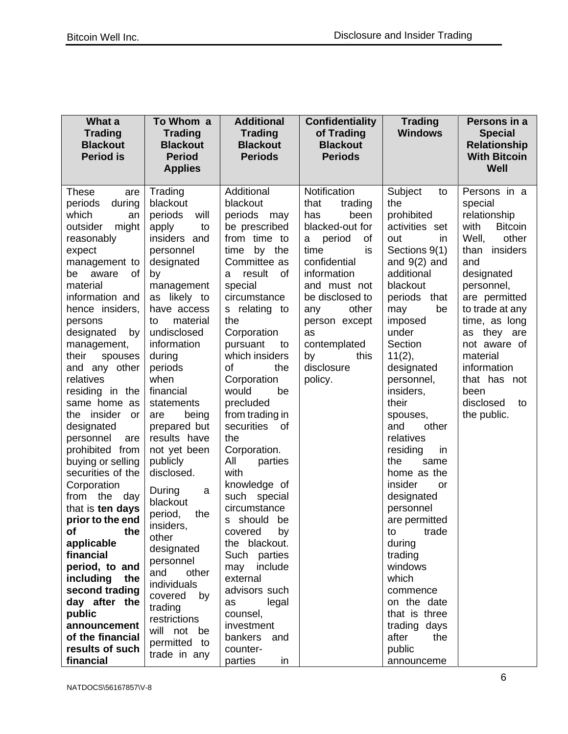| What a<br><b>Trading</b><br><b>Blackout</b><br><b>Period is</b>                                                                                                                                                                                                                                                                                                                                                                                                                                                                                                                                                                                                                                                                  | To Whom a<br><b>Trading</b><br><b>Blackout</b><br><b>Period</b><br><b>Applies</b>                                                                                                                                                                                                                                                                                                                                                                                                                                                                                             | <b>Additional</b><br><b>Trading</b><br><b>Blackout</b><br><b>Periods</b>                                                                                                                                                                                                                                                                                                                                                                                                                                                                                                                                                                    | <b>Confidentiality</b><br>of Trading<br><b>Blackout</b><br><b>Periods</b>                                                                                                                                                                                            | <b>Trading</b><br><b>Windows</b>                                                                                                                                                                                                                                                                                                                                                                                                                                                                                                                                          | Persons in a<br><b>Special</b><br><b>Relationship</b><br><b>With Bitcoin</b><br>Well                                                                                                                                                                                                                                |
|----------------------------------------------------------------------------------------------------------------------------------------------------------------------------------------------------------------------------------------------------------------------------------------------------------------------------------------------------------------------------------------------------------------------------------------------------------------------------------------------------------------------------------------------------------------------------------------------------------------------------------------------------------------------------------------------------------------------------------|-------------------------------------------------------------------------------------------------------------------------------------------------------------------------------------------------------------------------------------------------------------------------------------------------------------------------------------------------------------------------------------------------------------------------------------------------------------------------------------------------------------------------------------------------------------------------------|---------------------------------------------------------------------------------------------------------------------------------------------------------------------------------------------------------------------------------------------------------------------------------------------------------------------------------------------------------------------------------------------------------------------------------------------------------------------------------------------------------------------------------------------------------------------------------------------------------------------------------------------|----------------------------------------------------------------------------------------------------------------------------------------------------------------------------------------------------------------------------------------------------------------------|---------------------------------------------------------------------------------------------------------------------------------------------------------------------------------------------------------------------------------------------------------------------------------------------------------------------------------------------------------------------------------------------------------------------------------------------------------------------------------------------------------------------------------------------------------------------------|---------------------------------------------------------------------------------------------------------------------------------------------------------------------------------------------------------------------------------------------------------------------------------------------------------------------|
| <b>These</b><br>are<br>periods<br>during<br>which<br>an<br>outsider<br>might<br>reasonably<br>expect<br>management to<br>of<br>be aware<br>material<br>information and<br>hence insiders,<br>persons<br>designated<br>by<br>management,<br>spouses<br>their<br>and any other<br>relatives<br>residing in the<br>same home as<br>the insider<br><b>or</b><br>designated<br>personnel<br>are<br>prohibited from<br>buying or selling<br>securities of the<br>Corporation<br>from the<br>day<br>that is ten days<br>prior to the end<br>the<br>Оt<br>applicable<br>financial<br>period, to and<br>including<br>the<br>second trading<br>day after the<br>public<br>announcement<br>of the financial<br>results of such<br>financial | Trading<br>blackout<br>periods<br>will<br>apply<br>to<br>insiders and<br>personnel<br>designated<br>by<br>management<br>as likely to<br>have access<br>material<br>to<br>undisclosed<br>information<br>during<br>periods<br>when<br>financial<br>statements<br>being<br>are<br>prepared but<br>results have<br>not yet been<br>publicly<br>disclosed.<br>During<br>a<br>blackout<br>the<br>period,<br>insiders,<br>other<br>designated<br>personnel<br>other<br>and<br>individuals<br>covered<br>by<br>trading<br>restrictions<br>will not be<br>permitted to<br>trade in any | Additional<br>blackout<br>periods<br>may<br>be prescribed<br>from time to<br>by the<br>time<br>Committee as<br>result<br>0f<br>a<br>special<br>circumstance<br>s relating to<br>the<br>Corporation<br>pursuant<br>to<br>which insiders<br>οf<br>the<br>Corporation<br>be<br>would<br>precluded<br>from trading in<br>securities<br>0f<br>the<br>Corporation.<br>All<br>parties<br>with<br>knowledge of<br>such special<br>circumstance<br>s should be<br>by<br>covered<br>the blackout.<br>Such parties<br>include<br>may<br>external<br>advisors such<br>legal<br>as<br>counsel,<br>investment<br>bankers and<br>counter-<br>parties<br>in | Notification<br>that<br>trading<br>been<br>has<br>blacked-out for<br>period<br>οf<br>a<br>time<br>is<br>confidential<br>information<br>and must not<br>be disclosed to<br>other<br>any<br>person except<br>as<br>contemplated<br>by<br>this<br>disclosure<br>policy. | Subject<br>to<br>the<br>prohibited<br>activities set<br>out<br>in.<br>Sections 9(1)<br>and $9(2)$ and<br>additional<br>blackout<br>periods that<br>be<br>may<br>imposed<br>under<br>Section<br>11(2),<br>designated<br>personnel,<br>insiders,<br>their<br>spouses,<br>other<br>and<br>relatives<br>residing<br>in<br>the<br>same<br>home as the<br>insider<br>or<br>designated<br>personnel<br>are permitted<br>to<br>trade<br>during<br>trading<br>windows<br>which<br>commence<br>on the date<br>that is three<br>trading days<br>after<br>the<br>public<br>announceme | Persons in a<br>special<br>relationship<br>with<br><b>Bitcoin</b><br>Well,<br>other<br>insiders<br>than<br>and<br>designated<br>personnel,<br>are permitted<br>to trade at any<br>time, as long<br>as they are<br>not aware of<br>material<br>information<br>that has not<br>been<br>disclosed<br>to<br>the public. |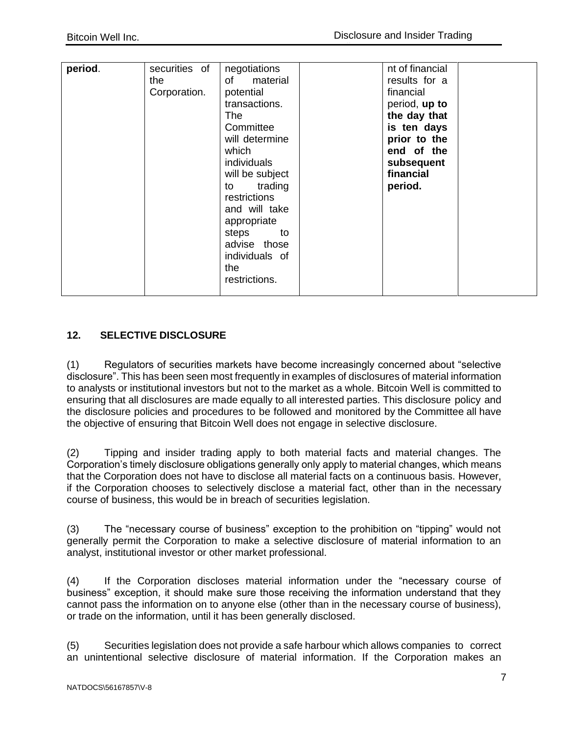| period. | securities of<br>the<br>Corporation. | negotiations<br>of<br>material<br>potential<br>transactions.<br>The<br>Committee<br>will determine<br>which<br>individuals<br>will be subject<br>to trading<br>restrictions<br>and will take<br>appropriate<br>steps<br>to<br>advise those<br>individuals of<br>the<br>restrictions. | nt of financial<br>results for a<br>financial<br>period, up to<br>the day that<br>is ten days<br>prior to the<br>end of the<br>subsequent<br>financial<br>period. |  |
|---------|--------------------------------------|--------------------------------------------------------------------------------------------------------------------------------------------------------------------------------------------------------------------------------------------------------------------------------------|-------------------------------------------------------------------------------------------------------------------------------------------------------------------|--|

# <span id="page-8-0"></span>**12. SELECTIVE DISCLOSURE**

(1) Regulators of securities markets have become increasingly concerned about "selective disclosure". This has been seen most frequently in examples of disclosures of material information to analysts or institutional investors but not to the market as a whole. Bitcoin Well is committed to ensuring that all disclosures are made equally to all interested parties. This disclosure policy and the disclosure policies and procedures to be followed and monitored by the Committee all have the objective of ensuring that Bitcoin Well does not engage in selective disclosure.

(2) Tipping and insider trading apply to both material facts and material changes. The Corporation's timely disclosure obligations generally only apply to material changes, which means that the Corporation does not have to disclose all material facts on a continuous basis. However, if the Corporation chooses to selectively disclose a material fact, other than in the necessary course of business, this would be in breach of securities legislation.

(3) The "necessary course of business" exception to the prohibition on "tipping" would not generally permit the Corporation to make a selective disclosure of material information to an analyst, institutional investor or other market professional.

(4) If the Corporation discloses material information under the "necessary course of business" exception, it should make sure those receiving the information understand that they cannot pass the information on to anyone else (other than in the necessary course of business), or trade on the information, until it has been generally disclosed.

(5) Securities legislation does not provide a safe harbour which allows companies to correct an unintentional selective disclosure of material information. If the Corporation makes an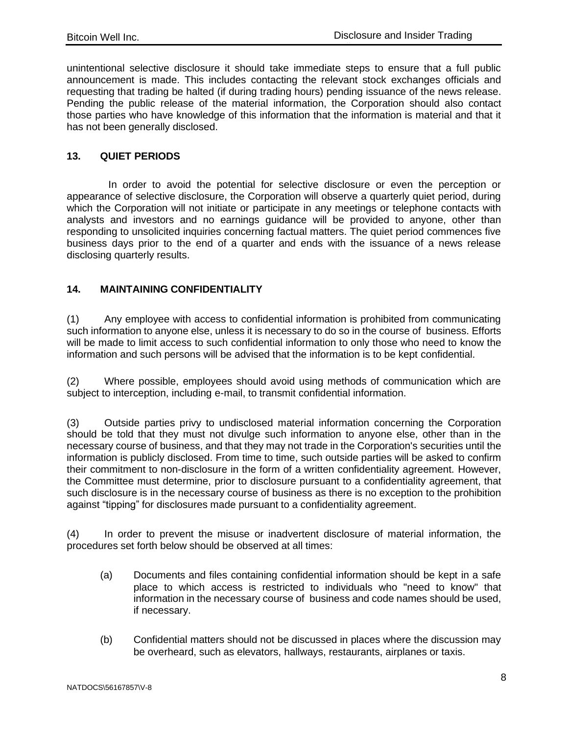unintentional selective disclosure it should take immediate steps to ensure that a full public announcement is made. This includes contacting the relevant stock exchanges officials and requesting that trading be halted (if during trading hours) pending issuance of the news release. Pending the public release of the material information, the Corporation should also contact those parties who have knowledge of this information that the information is material and that it has not been generally disclosed.

## <span id="page-9-0"></span>**13. QUIET PERIODS**

In order to avoid the potential for selective disclosure or even the perception or appearance of selective disclosure, the Corporation will observe a quarterly quiet period, during which the Corporation will not initiate or participate in any meetings or telephone contacts with analysts and investors and no earnings guidance will be provided to anyone, other than responding to unsolicited inquiries concerning factual matters. The quiet period commences five business days prior to the end of a quarter and ends with the issuance of a news release disclosing quarterly results.

## <span id="page-9-1"></span>**14. MAINTAINING CONFIDENTIALITY**

(1) Any employee with access to confidential information is prohibited from communicating such information to anyone else, unless it is necessary to do so in the course of business. Efforts will be made to limit access to such confidential information to only those who need to know the information and such persons will be advised that the information is to be kept confidential.

(2) Where possible, employees should avoid using methods of communication which are subject to interception, including e-mail, to transmit confidential information.

(3) Outside parties privy to undisclosed material information concerning the Corporation should be told that they must not divulge such information to anyone else, other than in the necessary course of business, and that they may not trade in the Corporation's securities until the information is publicly disclosed. From time to time, such outside parties will be asked to confirm their commitment to non-disclosure in the form of a written confidentiality agreement. However, the Committee must determine, prior to disclosure pursuant to a confidentiality agreement, that such disclosure is in the necessary course of business as there is no exception to the prohibition against "tipping" for disclosures made pursuant to a confidentiality agreement.

(4) In order to prevent the misuse or inadvertent disclosure of material information, the procedures set forth below should be observed at all times:

- (a) Documents and files containing confidential information should be kept in a safe place to which access is restricted to individuals who "need to know" that information in the necessary course of business and code names should be used, if necessary.
- (b) Confidential matters should not be discussed in places where the discussion may be overheard, such as elevators, hallways, restaurants, airplanes or taxis.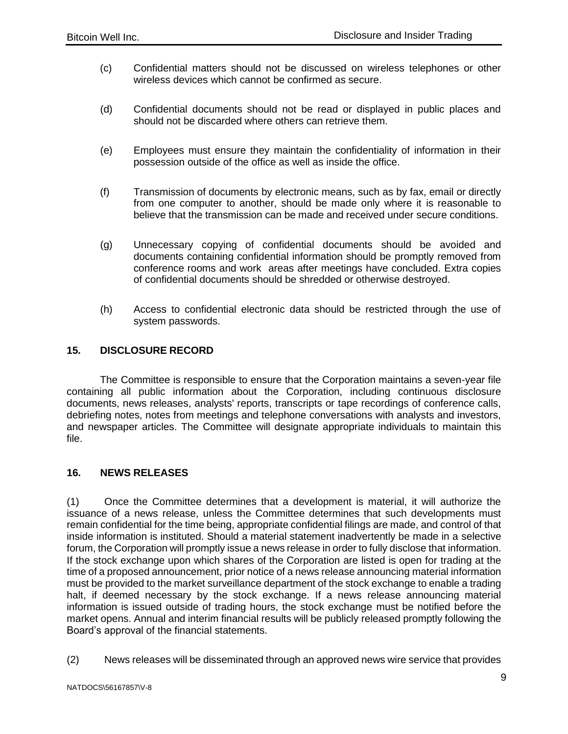(c) Confidential matters should not be discussed on wireless telephones or other wireless devices which cannot be confirmed as secure.

Policy

- (d) Confidential documents should not be read or displayed in public places and should not be discarded where others can retrieve them.
- (e) Employees must ensure they maintain the confidentiality of information in their possession outside of the office as well as inside the office.
- (f) Transmission of documents by electronic means, such as by fax, email or directly from one computer to another, should be made only where it is reasonable to believe that the transmission can be made and received under secure conditions.
- (g) Unnecessary copying of confidential documents should be avoided and documents containing confidential information should be promptly removed from conference rooms and work areas after meetings have concluded. Extra copies of confidential documents should be shredded or otherwise destroyed.
- (h) Access to confidential electronic data should be restricted through the use of system passwords.

#### <span id="page-10-0"></span>**15. DISCLOSURE RECORD**

The Committee is responsible to ensure that the Corporation maintains a seven-year file containing all public information about the Corporation, including continuous disclosure documents, news releases, analysts' reports, transcripts or tape recordings of conference calls, debriefing notes, notes from meetings and telephone conversations with analysts and investors, and newspaper articles. The Committee will designate appropriate individuals to maintain this file.

#### <span id="page-10-1"></span>**16. NEWS RELEASES**

(1) Once the Committee determines that a development is material, it will authorize the issuance of a news release, unless the Committee determines that such developments must remain confidential for the time being, appropriate confidential filings are made, and control of that inside information is instituted. Should a material statement inadvertently be made in a selective forum, the Corporation will promptly issue a news release in order to fully disclose that information. If the stock exchange upon which shares of the Corporation are listed is open for trading at the time of a proposed announcement, prior notice of a news release announcing material information must be provided to the market surveillance department of the stock exchange to enable a trading halt, if deemed necessary by the stock exchange. If a news release announcing material information is issued outside of trading hours, the stock exchange must be notified before the market opens. Annual and interim financial results will be publicly released promptly following the Board's approval of the financial statements.

(2) News releases will be disseminated through an approved news wire service that provides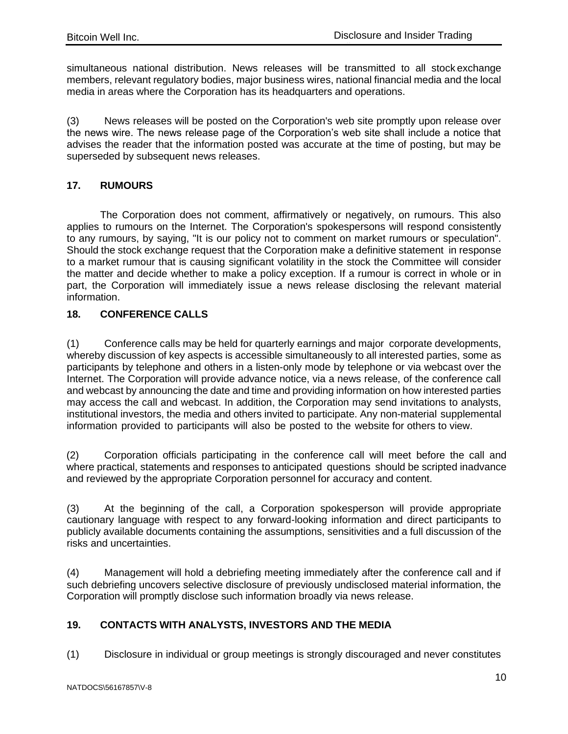simultaneous national distribution. News releases will be transmitted to all stock exchange members, relevant regulatory bodies, major business wires, national financial media and the local media in areas where the Corporation has its headquarters and operations.

(3) News releases will be posted on the Corporation's web site promptly upon release over the news wire. The news release page of the Corporation's web site shall include a notice that advises the reader that the information posted was accurate at the time of posting, but may be superseded by subsequent news releases.

## <span id="page-11-0"></span>**17. RUMOURS**

The Corporation does not comment, affirmatively or negatively, on rumours. This also applies to rumours on the Internet. The Corporation's spokespersons will respond consistently to any rumours, by saying, "It is our policy not to comment on market rumours or speculation". Should the stock exchange request that the Corporation make a definitive statement in response to a market rumour that is causing significant volatility in the stock the Committee will consider the matter and decide whether to make a policy exception. If a rumour is correct in whole or in part, the Corporation will immediately issue a news release disclosing the relevant material information.

## <span id="page-11-1"></span>**18. CONFERENCE CALLS**

(1) Conference calls may be held for quarterly earnings and major corporate developments, whereby discussion of key aspects is accessible simultaneously to all interested parties, some as participants by telephone and others in a listen-only mode by telephone or via webcast over the Internet. The Corporation will provide advance notice, via a news release, of the conference call and webcast by announcing the date and time and providing information on how interested parties may access the call and webcast. In addition, the Corporation may send invitations to analysts, institutional investors, the media and others invited to participate. Any non-material supplemental information provided to participants will also be posted to the website for others to view.

(2) Corporation officials participating in the conference call will meet before the call and where practical, statements and responses to anticipated questions should be scripted inadvance and reviewed by the appropriate Corporation personnel for accuracy and content.

(3) At the beginning of the call, a Corporation spokesperson will provide appropriate cautionary language with respect to any forward-looking information and direct participants to publicly available documents containing the assumptions, sensitivities and a full discussion of the risks and uncertainties.

(4) Management will hold a debriefing meeting immediately after the conference call and if such debriefing uncovers selective disclosure of previously undisclosed material information, the Corporation will promptly disclose such information broadly via news release.

# <span id="page-11-2"></span>**19. CONTACTS WITH ANALYSTS, INVESTORS AND THE MEDIA**

(1) Disclosure in individual or group meetings is strongly discouraged and never constitutes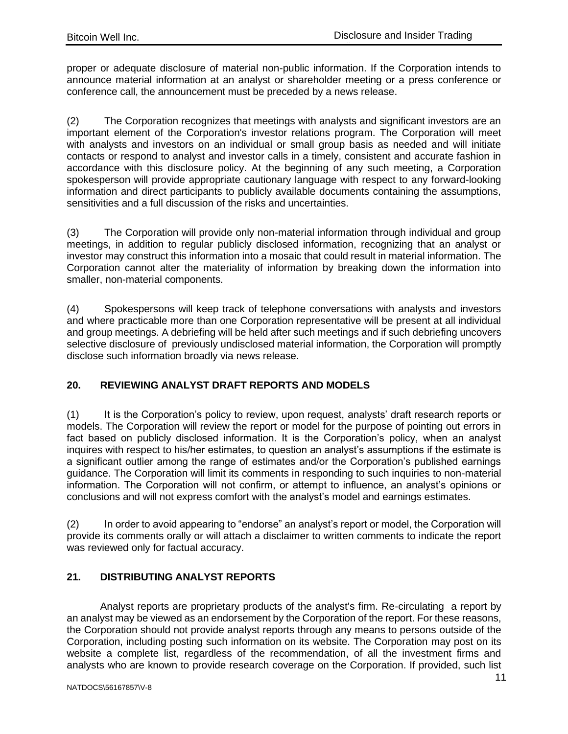proper or adequate disclosure of material non-public information. If the Corporation intends to announce material information at an analyst or shareholder meeting or a press conference or conference call, the announcement must be preceded by a news release.

(2) The Corporation recognizes that meetings with analysts and significant investors are an important element of the Corporation's investor relations program. The Corporation will meet with analysts and investors on an individual or small group basis as needed and will initiate contacts or respond to analyst and investor calls in a timely, consistent and accurate fashion in accordance with this disclosure policy. At the beginning of any such meeting, a Corporation spokesperson will provide appropriate cautionary language with respect to any forward-looking information and direct participants to publicly available documents containing the assumptions, sensitivities and a full discussion of the risks and uncertainties.

(3) The Corporation will provide only non-material information through individual and group meetings, in addition to regular publicly disclosed information, recognizing that an analyst or investor may construct this information into a mosaic that could result in material information. The Corporation cannot alter the materiality of information by breaking down the information into smaller, non-material components.

(4) Spokespersons will keep track of telephone conversations with analysts and investors and where practicable more than one Corporation representative will be present at all individual and group meetings. A debriefing will be held after such meetings and if such debriefing uncovers selective disclosure of previously undisclosed material information, the Corporation will promptly disclose such information broadly via news release.

# <span id="page-12-0"></span>**20. REVIEWING ANALYST DRAFT REPORTS AND MODELS**

(1) It is the Corporation's policy to review, upon request, analysts' draft research reports or models. The Corporation will review the report or model for the purpose of pointing out errors in fact based on publicly disclosed information. It is the Corporation's policy, when an analyst inquires with respect to his/her estimates, to question an analyst's assumptions if the estimate is a significant outlier among the range of estimates and/or the Corporation's published earnings guidance. The Corporation will limit its comments in responding to such inquiries to non-material information. The Corporation will not confirm, or attempt to influence, an analyst's opinions or conclusions and will not express comfort with the analyst's model and earnings estimates.

(2) In order to avoid appearing to "endorse" an analyst's report or model, the Corporation will provide its comments orally or will attach a disclaimer to written comments to indicate the report was reviewed only for factual accuracy.

# <span id="page-12-1"></span>**21. DISTRIBUTING ANALYST REPORTS**

Analyst reports are proprietary products of the analyst's firm. Re-circulating a report by an analyst may be viewed as an endorsement by the Corporation of the report. For these reasons, the Corporation should not provide analyst reports through any means to persons outside of the Corporation, including posting such information on its website. The Corporation may post on its website a complete list, regardless of the recommendation, of all the investment firms and analysts who are known to provide research coverage on the Corporation. If provided, such list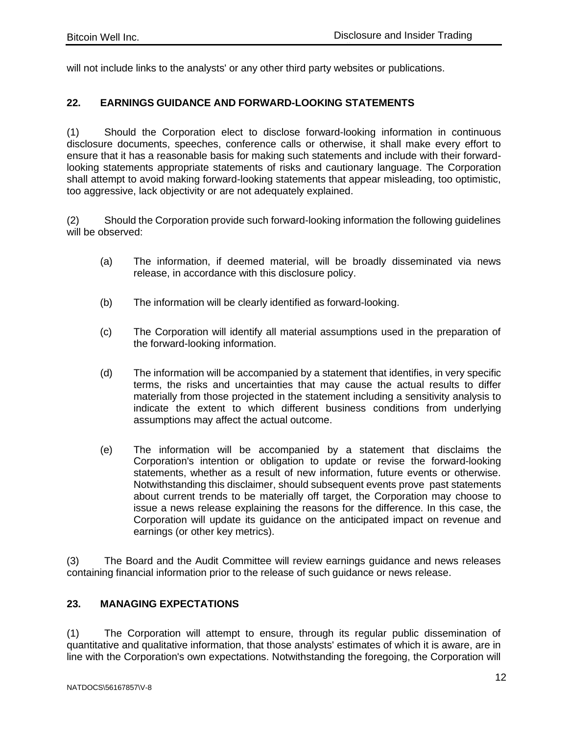will not include links to the analysts' or any other third party websites or publications.

#### <span id="page-13-0"></span>**22. EARNINGS GUIDANCE AND FORWARD-LOOKING STATEMENTS**

(1) Should the Corporation elect to disclose forward-looking information in continuous disclosure documents, speeches, conference calls or otherwise, it shall make every effort to ensure that it has a reasonable basis for making such statements and include with their forwardlooking statements appropriate statements of risks and cautionary language. The Corporation shall attempt to avoid making forward-looking statements that appear misleading, too optimistic, too aggressive, lack objectivity or are not adequately explained.

(2) Should the Corporation provide such forward-looking information the following guidelines will be observed:

- (a) The information, if deemed material, will be broadly disseminated via news release, in accordance with this disclosure policy.
- (b) The information will be clearly identified as forward-looking.
- (c) The Corporation will identify all material assumptions used in the preparation of the forward-looking information.
- (d) The information will be accompanied by a statement that identifies, in very specific terms, the risks and uncertainties that may cause the actual results to differ materially from those projected in the statement including a sensitivity analysis to indicate the extent to which different business conditions from underlying assumptions may affect the actual outcome.
- (e) The information will be accompanied by a statement that disclaims the Corporation's intention or obligation to update or revise the forward-looking statements, whether as a result of new information, future events or otherwise. Notwithstanding this disclaimer, should subsequent events prove past statements about current trends to be materially off target, the Corporation may choose to issue a news release explaining the reasons for the difference. In this case, the Corporation will update its guidance on the anticipated impact on revenue and earnings (or other key metrics).

(3) The Board and the Audit Committee will review earnings guidance and news releases containing financial information prior to the release of such guidance or news release.

## <span id="page-13-1"></span>**23. MANAGING EXPECTATIONS**

(1) The Corporation will attempt to ensure, through its regular public dissemination of quantitative and qualitative information, that those analysts' estimates of which it is aware, are in line with the Corporation's own expectations. Notwithstanding the foregoing, the Corporation will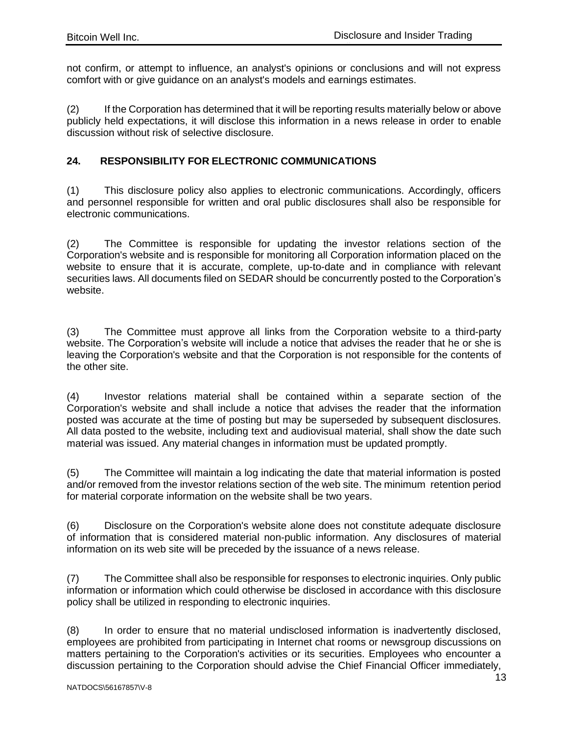not confirm, or attempt to influence, an analyst's opinions or conclusions and will not express comfort with or give guidance on an analyst's models and earnings estimates.

(2) If the Corporation has determined that it will be reporting results materially below or above publicly held expectations, it will disclose this information in a news release in order to enable discussion without risk of selective disclosure.

# <span id="page-14-0"></span>**24. RESPONSIBILITY FOR ELECTRONIC COMMUNICATIONS**

(1) This disclosure policy also applies to electronic communications. Accordingly, officers and personnel responsible for written and oral public disclosures shall also be responsible for electronic communications.

(2) The Committee is responsible for updating the investor relations section of the Corporation's website and is responsible for monitoring all Corporation information placed on the website to ensure that it is accurate, complete, up-to-date and in compliance with relevant securities laws. All documents filed on SEDAR should be concurrently posted to the Corporation's website.

(3) The Committee must approve all links from the Corporation website to a third-party website. The Corporation's website will include a notice that advises the reader that he or she is leaving the Corporation's website and that the Corporation is not responsible for the contents of the other site.

(4) Investor relations material shall be contained within a separate section of the Corporation's website and shall include a notice that advises the reader that the information posted was accurate at the time of posting but may be superseded by subsequent disclosures. All data posted to the website, including text and audiovisual material, shall show the date such material was issued. Any material changes in information must be updated promptly.

(5) The Committee will maintain a log indicating the date that material information is posted and/or removed from the investor relations section of the web site. The minimum retention period for material corporate information on the website shall be two years.

(6) Disclosure on the Corporation's website alone does not constitute adequate disclosure of information that is considered material non-public information. Any disclosures of material information on its web site will be preceded by the issuance of a news release.

(7) The Committee shall also be responsible for responses to electronic inquiries. Only public information or information which could otherwise be disclosed in accordance with this disclosure policy shall be utilized in responding to electronic inquiries.

(8) In order to ensure that no material undisclosed information is inadvertently disclosed, employees are prohibited from participating in Internet chat rooms or newsgroup discussions on matters pertaining to the Corporation's activities or its securities. Employees who encounter a discussion pertaining to the Corporation should advise the Chief Financial Officer immediately,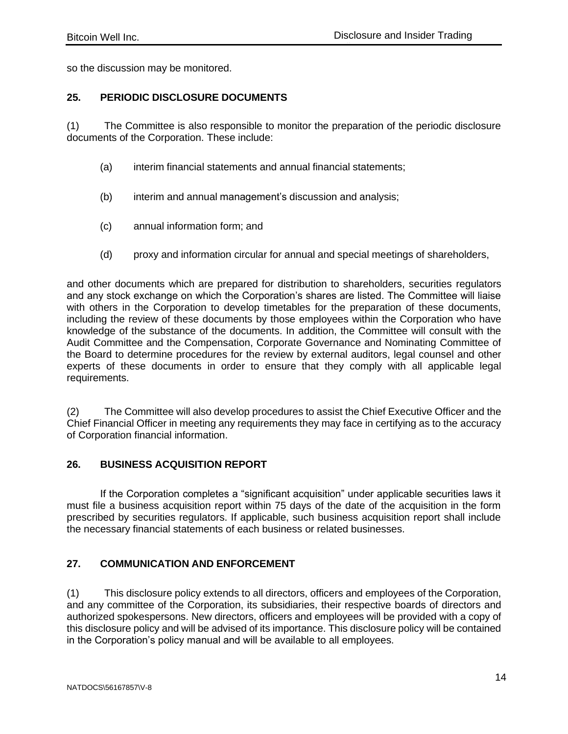so the discussion may be monitored.

#### <span id="page-15-0"></span>**25. PERIODIC DISCLOSURE DOCUMENTS**

(1) The Committee is also responsible to monitor the preparation of the periodic disclosure documents of the Corporation. These include:

- (a) interim financial statements and annual financial statements;
- (b) interim and annual management's discussion and analysis;
- (c) annual information form; and
- (d) proxy and information circular for annual and special meetings of shareholders,

and other documents which are prepared for distribution to shareholders, securities regulators and any stock exchange on which the Corporation's shares are listed. The Committee will liaise with others in the Corporation to develop timetables for the preparation of these documents, including the review of these documents by those employees within the Corporation who have knowledge of the substance of the documents. In addition, the Committee will consult with the Audit Committee and the Compensation, Corporate Governance and Nominating Committee of the Board to determine procedures for the review by external auditors, legal counsel and other experts of these documents in order to ensure that they comply with all applicable legal requirements.

(2) The Committee will also develop procedures to assist the Chief Executive Officer and the Chief Financial Officer in meeting any requirements they may face in certifying as to the accuracy of Corporation financial information.

#### <span id="page-15-1"></span>**26. BUSINESS ACQUISITION REPORT**

If the Corporation completes a "significant acquisition" under applicable securities laws it must file a business acquisition report within 75 days of the date of the acquisition in the form prescribed by securities regulators. If applicable, such business acquisition report shall include the necessary financial statements of each business or related businesses.

#### <span id="page-15-2"></span>**27. COMMUNICATION AND ENFORCEMENT**

(1) This disclosure policy extends to all directors, officers and employees of the Corporation, and any committee of the Corporation, its subsidiaries, their respective boards of directors and authorized spokespersons. New directors, officers and employees will be provided with a copy of this disclosure policy and will be advised of its importance. This disclosure policy will be contained in the Corporation's policy manual and will be available to all employees.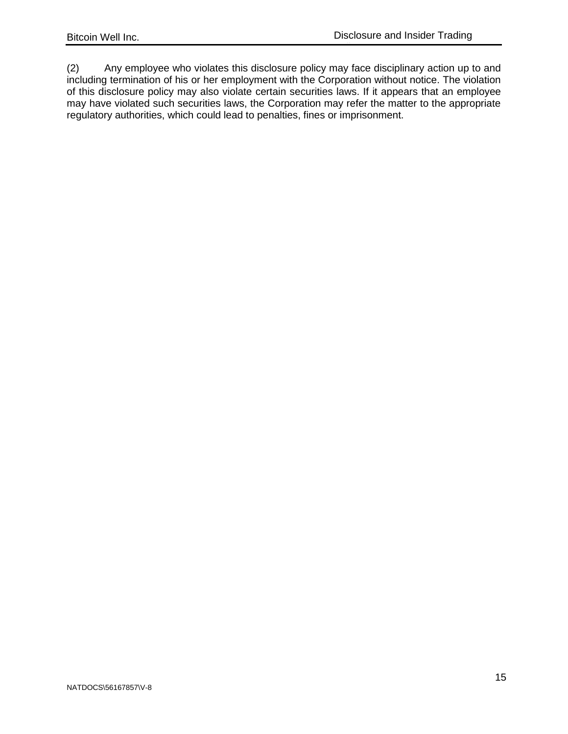(2) Any employee who violates this disclosure policy may face disciplinary action up to and including termination of his or her employment with the Corporation without notice. The violation of this disclosure policy may also violate certain securities laws. If it appears that an employee may have violated such securities laws, the Corporation may refer the matter to the appropriate regulatory authorities, which could lead to penalties, fines or imprisonment.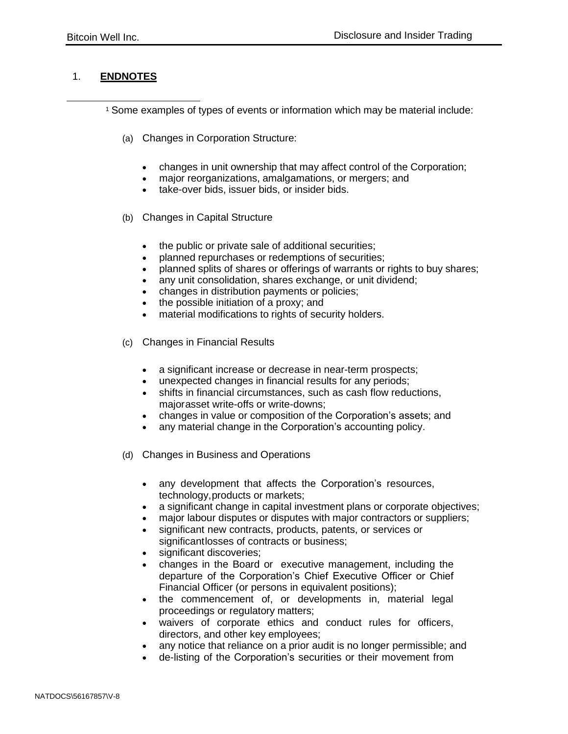#### <span id="page-17-0"></span>1. **ENDNOTES**

<sup>1</sup> Some examples of types of events or information which may be material include:

- (a) Changes in Corporation Structure:
	- changes in unit ownership that may affect control of the Corporation;
	- major reorganizations, amalgamations, or mergers; and
	- take-over bids, issuer bids, or insider bids.
- (b) Changes in Capital Structure
	- the public or private sale of additional securities;
	- planned repurchases or redemptions of securities;
	- planned splits of shares or offerings of warrants or rights to buy shares;
	- any unit consolidation, shares exchange, or unit dividend;
	- changes in distribution payments or policies;
	- the possible initiation of a proxy; and
	- material modifications to rights of security holders.
- (c) Changes in Financial Results
	- a significant increase or decrease in near-term prospects;
	- unexpected changes in financial results for any periods;
	- shifts in financial circumstances, such as cash flow reductions, majorasset write-offs or write-downs;
	- changes in value or composition of the Corporation's assets; and
	- any material change in the Corporation's accounting policy.
- (d) Changes in Business and Operations
	- any development that affects the Corporation's resources, technology,products or markets;
	- a significant change in capital investment plans or corporate objectives;
	- major labour disputes or disputes with major contractors or suppliers;
	- significant new contracts, products, patents, or services or significantlosses of contracts or business;
	- significant discoveries;
	- changes in the Board or executive management, including the departure of the Corporation's Chief Executive Officer or Chief Financial Officer (or persons in equivalent positions);
	- the commencement of, or developments in, material legal proceedings or regulatory matters;
	- waivers of corporate ethics and conduct rules for officers, directors, and other key employees;
	- any notice that reliance on a prior audit is no longer permissible; and
	- de-listing of the Corporation's securities or their movement from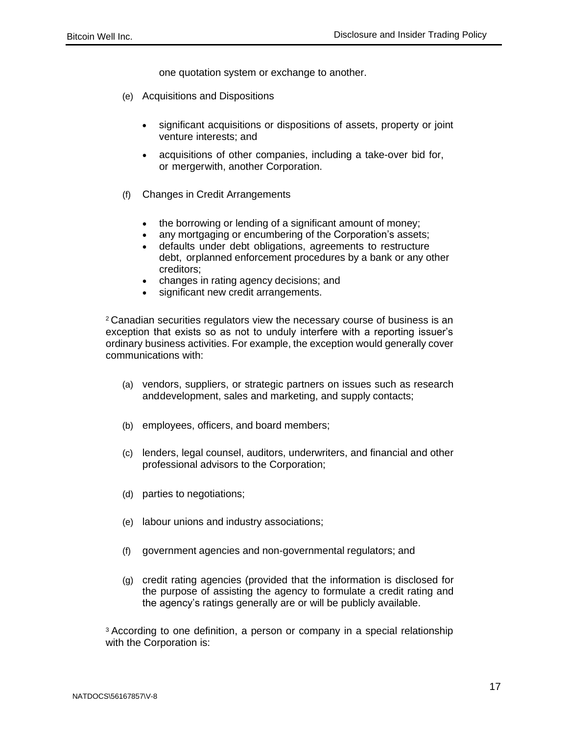one quotation system or exchange to another.

- (e) Acquisitions and Dispositions
	- significant acquisitions or dispositions of assets, property or joint venture interests; and
	- acquisitions of other companies, including a take-over bid for, or mergerwith, another Corporation.
- (f) Changes in Credit Arrangements
	- the borrowing or lending of a significant amount of money;
	- any mortgaging or encumbering of the Corporation's assets;
	- defaults under debt obligations, agreements to restructure debt, orplanned enforcement procedures by a bank or any other creditors;
	- changes in rating agency decisions; and
	- significant new credit arrangements.

<sup>2</sup>Canadian securities regulators view the necessary course of business is an exception that exists so as not to unduly interfere with a reporting issuer's ordinary business activities. For example, the exception would generally cover communications with:

- (a) vendors, suppliers, or strategic partners on issues such as research anddevelopment, sales and marketing, and supply contacts;
- (b) employees, officers, and board members;
- (c) lenders, legal counsel, auditors, underwriters, and financial and other professional advisors to the Corporation;
- (d) parties to negotiations;
- (e) labour unions and industry associations;
- (f) government agencies and non-governmental regulators; and
- (g) credit rating agencies (provided that the information is disclosed for the purpose of assisting the agency to formulate a credit rating and the agency's ratings generally are or will be publicly available.

<sup>3</sup> According to one definition, a person or company in a special relationship with the Corporation is: